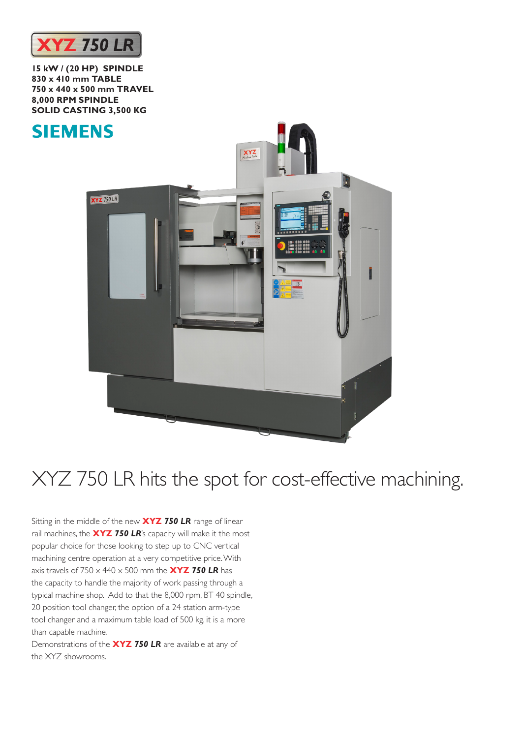

**15 kW / (20 HP) SPINDLE 830 x 410 mm TABLE 750 x 440 x 500 mm TRAVEL 8,000 RPM SPINDLE SOLID CASTING 3,500 KG**



## XYZ 750 LR hits the spot for cost-effective machining.

Sitting in the middle of the new **XYZ** *750 LR* range of linear rail machines, the **XYZ** *750 LR*'s capacity will make it the most popular choice for those looking to step up to CNC vertical machining centre operation at a very competitive price. With axis travels of 750 x 440 x 500 mm the **XYZ** *750 LR* has the capacity to handle the majority of work passing through a typical machine shop. Add to that the 8,000 rpm, BT 40 spindle, 20 position tool changer, the option of a 24 station arm-type tool changer and a maximum table load of 500 kg, it is a more than capable machine.

Demonstrations of the **XYZ** *750 LR* are available at any of the XYZ showrooms.